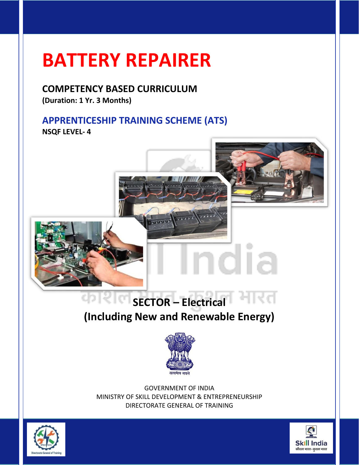### **COMPETENCY BASED CURRICULUM**

**(Duration: 1 Yr. 3 Months)**

### **APPRENTICESHIP TRAINING SCHEME (ATS)**

**NSQF LEVEL- 4**



### **SECTOR – Electrical (Including New and Renewable Energy)**



GOVERNMENT OF INDIA MINISTRY OF SKILL DEVELOPMENT & ENTREPRENEURSHIP DIRECTORATE GENERAL OF TRAINING



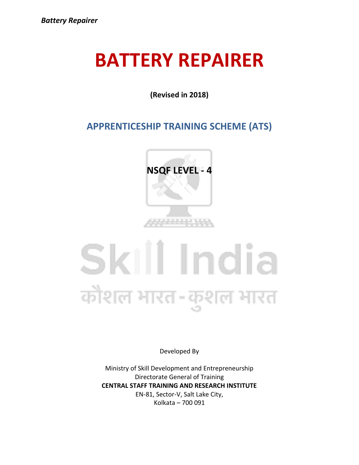**(Revised in 2018)**

#### **APPRENTICESHIP TRAINING SCHEME (ATS)**



## Skill India कौशल भारत-कुशल भारत

Developed By

Ministry of Skill Development and Entrepreneurship Directorate General of Training **CENTRAL STAFF TRAINING AND RESEARCH INSTITUTE** EN-81, Sector-V, Salt Lake City, Kolkata – 700 091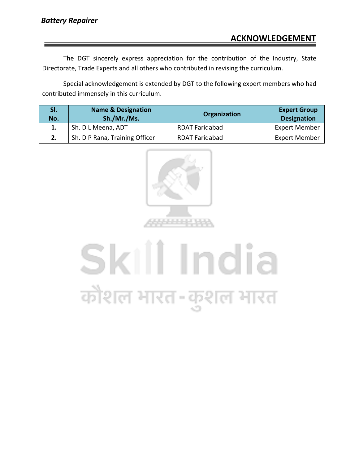The DGT sincerely express appreciation for the contribution of the Industry, State Directorate, Trade Experts and all others who contributed in revising the curriculum.

Special acknowledgement is extended by DGT to the following expert members who had contributed immensely in this curriculum.

| SI.<br>No. | <b>Name &amp; Designation</b><br>Sh./Mr./Ms. | Organization          | <b>Expert Group</b><br><b>Designation</b> |
|------------|----------------------------------------------|-----------------------|-------------------------------------------|
|            | Sh. D L Meena, ADT                           | <b>RDAT Faridabad</b> | <b>Expert Member</b>                      |
|            | Sh. D P Rana, Training Officer               | <b>RDAT Faridabad</b> | <b>Expert Member</b>                      |



# Skill India कोशल भारत-कुशल भारत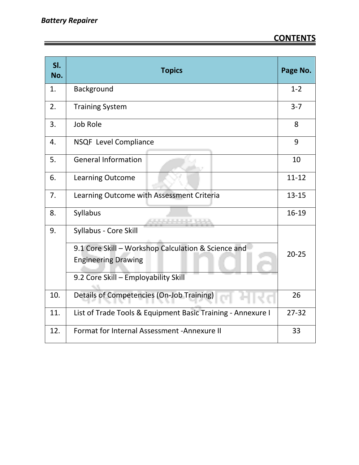| SI.<br>No. | <b>Topics</b>                                               | Page No.  |
|------------|-------------------------------------------------------------|-----------|
| 1.         | Background                                                  | $1 - 2$   |
| 2.         | <b>Training System</b>                                      | $3 - 7$   |
| 3.         | Job Role                                                    | 8         |
| 4.         | NSQF Level Compliance                                       | 9         |
| 5.         | <b>General Information</b>                                  | 10        |
| 6.         | <b>Learning Outcome</b>                                     | $11 - 12$ |
| 7.         | Learning Outcome with Assessment Criteria                   | $13 - 15$ |
| 8.         | Syllabus<br>والمراجل المواسق المراجل                        | 16-19     |
| 9.         | Syllabus - Core Skill                                       |           |
|            | 9.1 Core Skill - Workshop Calculation & Science and         | $20 - 25$ |
|            | <b>Engineering Drawing</b>                                  |           |
|            | 9.2 Core Skill - Employability Skill                        |           |
| 10.        | Details of Competencies (On-Job Training)                   | 26        |
| 11.        | List of Trade Tools & Equipment Basic Training - Annexure I | $27 - 32$ |
| 12.        | Format for Internal Assessment - Annexure II                | 33        |

<u> 1989 - Johann Stein, marwolaethau a bhann an t-Amhair an t-Amhair an t-Amhair an t-Amhair an t-Amhair an t-A</u>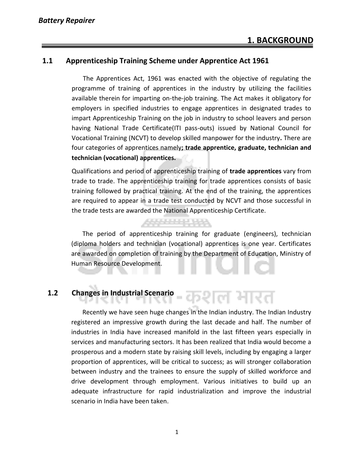#### **1.1 Apprenticeship Training Scheme under Apprentice Act 1961**

 The Apprentices Act, 1961 was enacted with the objective of regulating the programme of training of apprentices in the industry by utilizing the facilities available therein for imparting on-the-job training. The Act makes it obligatory for employers in specified industries to engage apprentices in designated trades to impart Apprenticeship Training on the job in industry to school leavers and person having National Trade Certificate(ITI pass-outs) issued by National Council for Vocational Training (NCVT) to develop skilled manpower for the industry**.** There are four categories of apprentices namely**; trade apprentice, graduate, technician and technician (vocational) apprentices.** 

Qualifications and period of apprenticeship training of **trade apprentices** vary from trade to trade. The apprenticeship training for trade apprentices consists of basic training followed by practical training. At the end of the training, the apprentices are required to appear in a trade test conducted by NCVT and those successful in the trade tests are awarded the National Apprenticeship Certificate.

 The period of apprenticeship training for graduate (engineers), technician (diploma holders and technician (vocational) apprentices is one year. Certificates are awarded on completion of training by the Department of Education, Ministry of Human Resource Development.

क्षाल सारत

*<u> 1999 - 1999 - 1999</u>* 

#### **1.2 Changes in Industrial Scenario**

 Recently we have seen huge changes in the Indian industry. The Indian Industry registered an impressive growth during the last decade and half. The number of industries in India have increased manifold in the last fifteen years especially in services and manufacturing sectors. It has been realized that India would become a prosperous and a modern state by raising skill levels, including by engaging a larger proportion of apprentices, will be critical to success; as will stronger collaboration between industry and the trainees to ensure the supply of skilled workforce and drive development through employment. Various initiatives to build up an adequate infrastructure for rapid industrialization and improve the industrial scenario in India have been taken.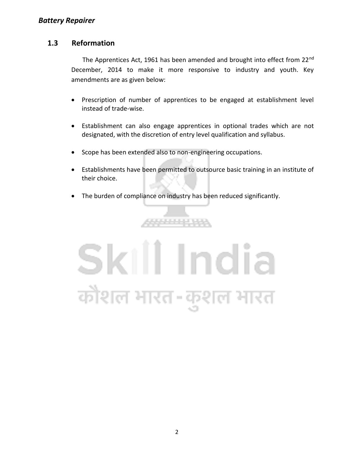#### **1.3 Reformation**

 The Apprentices Act, 1961 has been amended and brought into effect from 22nd December, 2014 to make it more responsive to industry and youth. Key amendments are as given below:

- Prescription of number of apprentices to be engaged at establishment level instead of trade-wise.
- Establishment can also engage apprentices in optional trades which are not designated, with the discretion of entry level qualification and syllabus.
- Scope has been extended also to non-engineering occupations.
- Establishments have been permitted to outsource basic training in an institute of their choice.
- The burden of compliance on industry has been reduced significantly.

555555555

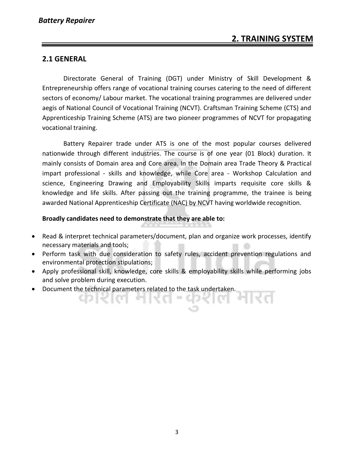#### **2.1 GENERAL**

Directorate General of Training (DGT) under Ministry of Skill Development & Entrepreneurship offers range of vocational training courses catering to the need of different sectors of economy/ Labour market. The vocational training programmes are delivered under aegis of National Council of Vocational Training (NCVT). Craftsman Training Scheme (CTS) and Apprenticeship Training Scheme (ATS) are two pioneer programmes of NCVT for propagating vocational training.

Battery Repairer trade under ATS is one of the most popular courses delivered nationwide through different industries. The course is of one year (01 Block) duration. It mainly consists of Domain area and Core area. In the Domain area Trade Theory & Practical impart professional - skills and knowledge, while Core area - Workshop Calculation and science, Engineering Drawing and Employability Skills imparts requisite core skills & knowledge and life skills. After passing out the training programme, the trainee is being awarded National Apprenticeship Certificate (NAC) by NCVT having worldwide recognition.

#### **Broadly candidates need to demonstrate that they are able to:**

- Read & interpret technical parameters/document, plan and organize work processes, identify necessary materials and tools;
- Perform task with due consideration to safety rules, accident prevention regulations and environmental protection stipulations;
- Apply professional skill, knowledge, core skills & employability skills while performing jobs and solve problem during execution.
- Document the technical parameters related to the task undertaken.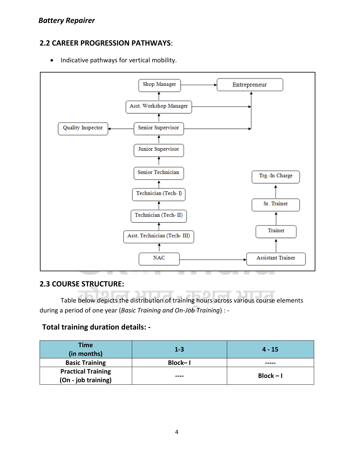#### **2.2 CAREER PROGRESSION PATHWAYS**:

• Indicative pathways for vertical mobility.



#### **2.3 COURSE STRUCTURE:**

Table below depicts the distribution of training hours across various course elements during a period of one year (*Basic Training and On-Job Training*) : -

#### **Total training duration details: -**

| <b>Time</b><br>(in months) | $1 - 3$ | $4 - 15$    |
|----------------------------|---------|-------------|
| <b>Basic Training</b>      | Block-I |             |
| <b>Practical Training</b>  |         |             |
| (On - job training)        | ----    | $Block - I$ |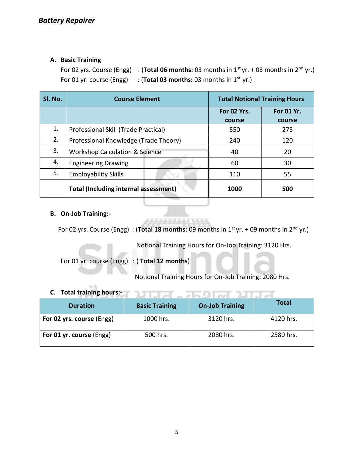#### **A. Basic Training**

For 02 yrs. Course (Engg) : (Total 06 months: 03 months in 1<sup>st</sup> yr. + 03 months in 2<sup>nd</sup> yr.) For 01 yr. course (Engg) : (**Total 03 months:** 03 months in 1<sup>st</sup> yr.)

| SI. No. | <b>Course Element</b>                        |                       | <b>Total Notional Training Hours</b> |  |
|---------|----------------------------------------------|-----------------------|--------------------------------------|--|
|         |                                              | For 02 Yrs.<br>course | <b>For 01 Yr.</b><br>course          |  |
| 1.      | Professional Skill (Trade Practical)         | 550                   | 275                                  |  |
| 2.      | Professional Knowledge (Trade Theory)        | 240                   | 120                                  |  |
| 3.      | <b>Workshop Calculation &amp; Science</b>    | 40                    | 20                                   |  |
| 4.      | <b>Engineering Drawing</b>                   | 60                    | 30                                   |  |
| 5.      | <b>Employability Skills</b>                  | 110                   | 55                                   |  |
|         | <b>Total (Including internal assessment)</b> | 1000                  | 500                                  |  |

#### **B. On-Job Training:-**

For 02 yrs. Course (Engg) : (**Total 18 months:** 09 months in 1<sup>st</sup> yr. + 09 months in 2<sup>nd</sup> yr.)

الموارد والمتوسط

Notional Training Hours for On-Job Training: 3120 Hrs.

For 01 yr. course (Engg) : ( **Total 12 months**)

Notional Training Hours for On-Job Training: 2080 Hrs.

ਪਾਰਤ - ਸਰਮਾਨਾ ਪਾਰਤ

#### **C. Total training hours:-**

| <b>Duration</b>           | <b>Basic Training</b> | <b>On-Job Training</b> | <b>Total</b> |
|---------------------------|-----------------------|------------------------|--------------|
| For 02 yrs. course (Engg) | 1000 hrs.             | 3120 hrs.              | 4120 hrs.    |
| For 01 yr. course (Engg)  | 500 hrs.              | 2080 hrs.              | 2580 hrs.    |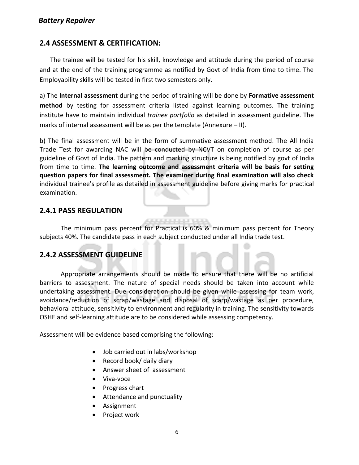#### *Battery Repairer*

#### **2.4 ASSESSMENT & CERTIFICATION:**

The trainee will be tested for his skill, knowledge and attitude during the period of course and at the end of the training programme as notified by Govt of India from time to time. The Employability skills will be tested in first two semesters only.

a) The **Internal assessment** during the period of training will be done by **Formative assessment method** by testing for assessment criteria listed against learning outcomes. The training institute have to maintain individual *trainee portfolio* as detailed in assessment guideline. The marks of internal assessment will be as per the template (Annexure – II).

b) The final assessment will be in the form of summative assessment method. The All India Trade Test for awarding NAC will be conducted by NCVT on completion of course as per guideline of Govt of India. The pattern and marking structure is being notified by govt of India from time to time. **The learning outcome and assessment criteria will be basis for setting question papers for final assessment. The examiner during final examination will also check**  individual trainee's profile as detailed in assessment guideline before giving marks for practical examination.

#### **2.4.1 PASS REGULATION**

The minimum pass percent for Practical is 60% & minimum pass percent for Theory subjects 40%. The candidate pass in each subject conducted under all India trade test.

#### **2.4.2 ASSESSMENT GUIDELINE**

Appropriate arrangements should be made to ensure that there will be no artificial barriers to assessment. The nature of special needs should be taken into account while undertaking assessment. Due consideration should be given while assessing for team work, avoidance/reduction of scrap/wastage and disposal of scarp/wastage as per procedure, behavioral attitude, sensitivity to environment and regularity in training. The sensitivity towards OSHE and self-learning attitude are to be considered while assessing competency.

Assessment will be evidence based comprising the following:

- Job carried out in labs/workshop
- Record book/ daily diary
- Answer sheet of assessment
- Viva-voce
- Progress chart
- Attendance and punctuality
- Assignment
- Project work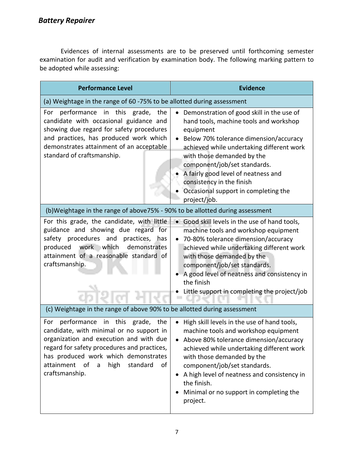Evidences of internal assessments are to be preserved until forthcoming semester examination for audit and verification by examination body. The following marking pattern to be adopted while assessing:

| <b>Performance Level</b>                                                                                                                                                                                                                                                                           | <b>Evidence</b>                                                                                                                                                                                                                                                                                                                                                                   |
|----------------------------------------------------------------------------------------------------------------------------------------------------------------------------------------------------------------------------------------------------------------------------------------------------|-----------------------------------------------------------------------------------------------------------------------------------------------------------------------------------------------------------------------------------------------------------------------------------------------------------------------------------------------------------------------------------|
| (a) Weightage in the range of 60 -75% to be allotted during assessment                                                                                                                                                                                                                             |                                                                                                                                                                                                                                                                                                                                                                                   |
| in this grade,<br>performance<br>the<br>For<br>candidate with occasional guidance and<br>showing due regard for safety procedures<br>and practices, has produced work which<br>demonstrates attainment of an acceptable<br>standard of craftsmanship.                                              | Demonstration of good skill in the use of<br>hand tools, machine tools and workshop<br>equipment<br>Below 70% tolerance dimension/accuracy<br>achieved while undertaking different work<br>with those demanded by the<br>component/job/set standards.<br>A fairly good level of neatness and<br>consistency in the finish<br>Occasional support in completing the<br>project/job. |
| (b)Weightage in the range of above75% - 90% to be allotted during assessment                                                                                                                                                                                                                       |                                                                                                                                                                                                                                                                                                                                                                                   |
| For this grade, the candidate, with little<br>guidance and showing due regard for<br>safety procedures and<br>practices,<br>has<br>work which<br>produced<br>demonstrates<br>attainment of a reasonable standard of<br>craftsmanship.                                                              | • Good skill levels in the use of hand tools,<br>machine tools and workshop equipment<br>70-80% tolerance dimension/accuracy<br>achieved while undertaking different work<br>with those demanded by the<br>component/job/set standards.<br>A good level of neatness and consistency in<br>the finish<br>Little support in completing the project/job                              |
| (c) Weightage in the range of above 90% to be allotted during assessment                                                                                                                                                                                                                           |                                                                                                                                                                                                                                                                                                                                                                                   |
| performance in this grade, the<br>For<br>candidate, with minimal or no support in<br>organization and execution and with due<br>regard for safety procedures and practices,<br>has produced work which demonstrates<br>attainment of<br>high<br>$\overline{a}$<br>standard<br>of<br>craftsmanship. | High skill levels in the use of hand tools,<br>machine tools and workshop equipment<br>Above 80% tolerance dimension/accuracy<br>achieved while undertaking different work<br>with those demanded by the<br>component/job/set standards.<br>A high level of neatness and consistency in<br>the finish.<br>Minimal or no support in completing the<br>project.                     |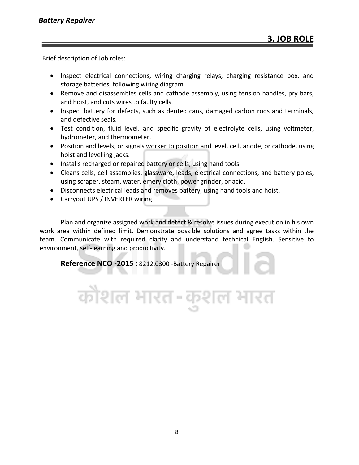Brief description of Job roles:

- Inspect electrical connections, wiring charging relays, charging resistance box, and storage batteries, following wiring diagram.
- Remove and disassembles cells and cathode assembly, using tension handles, pry bars, and hoist, and cuts wires to faulty cells.
- Inspect battery for defects, such as dented cans, damaged carbon rods and terminals, and defective seals.
- Test condition, fluid level, and specific gravity of electrolyte cells, using voltmeter, hydrometer, and thermometer.
- Position and levels, or signals worker to position and level, cell, anode, or cathode, using hoist and levelling jacks.
- Installs recharged or repaired battery or cells, using hand tools.
- Cleans cells, cell assemblies, glassware, leads, electrical connections, and battery poles, using scraper, steam, water, emery cloth, power grinder, or acid.
- Disconnects electrical leads and removes battery, using hand tools and hoist.
- Carryout UPS / INVERTER wiring.

Plan and organize assigned work and detect & resolve issues during execution in his own work area within defined limit. Demonstrate possible solutions and agree tasks within the team. Communicate with required clarity and understand technical English. Sensitive to environment, self-learning and productivity.

कोशल भारत-कुशल भारत

**Reference NCO -2015 :** 8212.0300 -Battery Repairer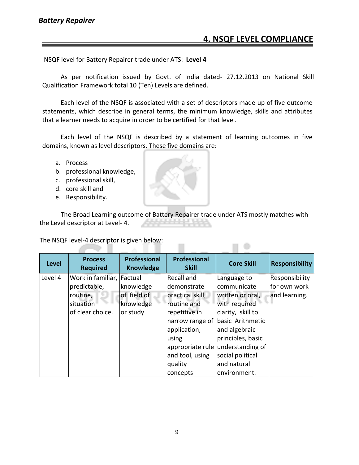#### **4. NSQF LEVEL COMPLIANCE**

 $\Box$ 

NSQF level for Battery Repairer trade under ATS: **Level 4**

As per notification issued by Govt. of India dated- 27.12.2013 on National Skill Qualification Framework total 10 (Ten) Levels are defined.

Each level of the NSQF is associated with a set of descriptors made up of five outcome statements, which describe in general terms, the minimum knowledge, skills and attributes that a learner needs to acquire in order to be certified for that level.

Each level of the NSQF is described by a statement of learning outcomes in five domains, known as level descriptors. These five domains are:

- a. Process
- b. professional knowledge,
- c. professional skill,
- d. core skill and
- e. Responsibility.

a s

The Broad Learning outcome of Battery Repairer trade under ATS mostly matches with the Level descriptor at Level- 4.

The NSQF level-4 descriptor is given below: - 1

| <b>Level</b> | <b>Process</b><br><b>Required</b> | <b>Professional</b><br><b>Knowledge</b> | Professional<br><b>Skill</b> | <b>Core Skill</b> | <b>Responsibility</b> |
|--------------|-----------------------------------|-----------------------------------------|------------------------------|-------------------|-----------------------|
| Level 4      | Work in familiar, Factual         |                                         | Recall and                   | Language to       | Responsibility        |
|              | predictable,                      | knowledge                               | demonstrate                  | communicate       | for own work          |
|              | routine,                          | of field of                             | practical skill,             | written or oral,  | and learning.         |
|              | situation                         | knowledge                               | routine and                  | with required     |                       |
|              | of clear choice.                  | or study                                | repetitive in                | clarity, skill to |                       |
|              |                                   |                                         | narrow range of              | basic Arithmetic  |                       |
|              |                                   |                                         | application,                 | and algebraic     |                       |
|              |                                   |                                         | using                        | principles, basic |                       |
|              |                                   |                                         | appropriate rule             | understanding of  |                       |
|              |                                   |                                         | and tool, using              | social political  |                       |
|              |                                   |                                         | quality                      | and natural       |                       |
|              |                                   |                                         | concepts                     | environment.      |                       |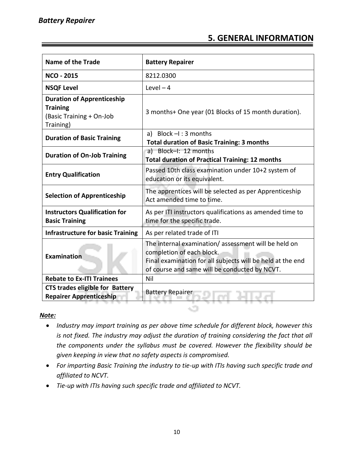#### **5. GENERAL INFORMATION**

| <b>Name of the Trade</b>                                                                      | <b>Battery Repairer</b>                                                                                                                                                                         |  |
|-----------------------------------------------------------------------------------------------|-------------------------------------------------------------------------------------------------------------------------------------------------------------------------------------------------|--|
| <b>NCO - 2015</b>                                                                             | 8212.0300                                                                                                                                                                                       |  |
| <b>NSQF Level</b>                                                                             | Level $-4$                                                                                                                                                                                      |  |
| <b>Duration of Apprenticeship</b><br><b>Training</b><br>(Basic Training + On-Job<br>Training) | 3 months+ One year (01 Blocks of 15 month duration).                                                                                                                                            |  |
| <b>Duration of Basic Training</b>                                                             | a) Block $-I$ : 3 months<br><b>Total duration of Basic Training: 3 months</b>                                                                                                                   |  |
| <b>Duration of On-Job Training</b>                                                            | a) Block-I: 12 months<br><b>Total duration of Practical Training: 12 months</b>                                                                                                                 |  |
| <b>Entry Qualification</b>                                                                    | Passed 10th class examination under 10+2 system of<br>education or its equivalent.                                                                                                              |  |
| <b>Selection of Apprenticeship</b>                                                            | The apprentices will be selected as per Apprenticeship<br>Act amended time to time.                                                                                                             |  |
| <b>Instructors Qualification for</b><br><b>Basic Training</b>                                 | As per ITI instructors qualifications as amended time to<br>time for the specific trade.                                                                                                        |  |
| <b>Infrastructure for basic Training</b>                                                      | As per related trade of ITI                                                                                                                                                                     |  |
| Examination                                                                                   | The internal examination/assessment will be held on<br>completion of each block.<br>Final examination for all subjects will be held at the end<br>of course and same will be conducted by NCVT. |  |
| <b>Rebate to Ex-ITI Trainees</b>                                                              | Nil                                                                                                                                                                                             |  |
| <b>CTS trades eligible for Battery</b><br><b>Repairer Apprenticeship</b>                      | <b>Battery Repairer</b>                                                                                                                                                                         |  |
|                                                                                               |                                                                                                                                                                                                 |  |

#### *Note:*

- *Industry may impart training as per above time schedule for different block, however this is not fixed. The industry may adjust the duration of training considering the fact that all the components under the syllabus must be covered. However the flexibility should be given keeping in view that no safety aspects is compromised.*
- *For imparting Basic Training the industry to tie-up with ITIs having such specific trade and affiliated to NCVT.*
- *Tie-up with ITIs having such specific trade and affiliated to NCVT.*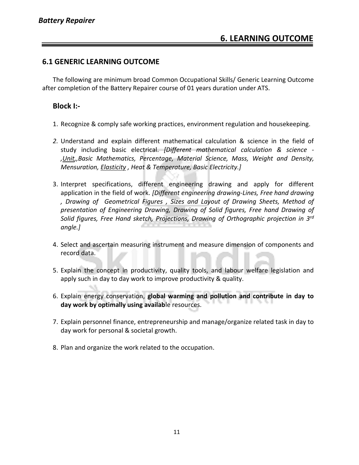#### **6.1 GENERIC LEARNING OUTCOME**

The following are minimum broad Common Occupational Skills/ Generic Learning Outcome after completion of the Battery Repairer course of 01 years duration under ATS.

#### **Block I:-**

- 1. Recognize & comply safe working practices, environment regulation and housekeeping.
- *2.* Understand and explain different mathematical calculation & science in the field of study including basic electrical. *[Different mathematical calculation & science - ,Unit,,Basic Mathematics, Percentage, Material Science, Mass, Weight and Density, Mensuration, Elasticity , Heat & Temperature, Basic Electricity.]*
- 3. Interpret specifications, different engineering drawing and apply for different application in the field of work. *[Different engineering drawing-Lines, Free hand drawing , Drawing of Geometrical Figures , Sizes and Layout of Drawing Sheets, Method of presentation of Engineering Drawing, Drawing of Solid figures, Free hand Drawing of Solid figures, Free Hand sketch, Projections, Drawing of Orthographic projection in 3rd angle.]*
- 4. Select and ascertain measuring instrument and measure dimension of components and record data.
- 5. Explain the concept in productivity, quality tools, and labour welfare legislation and apply such in day to day work to improve productivity & quality.
- 6. Explain energy conservation, **global warming and pollution and contribute in day to day work by optimally using availab**le resources.
- 7. Explain personnel finance, entrepreneurship and manage/organize related task in day to day work for personal & societal growth.
- 8. Plan and organize the work related to the occupation.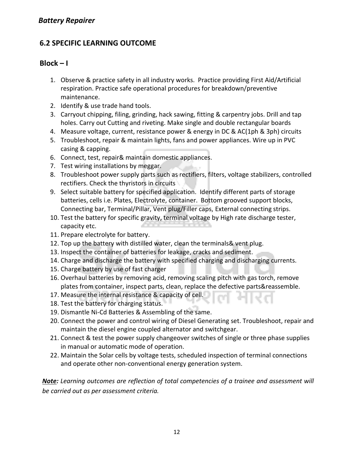#### **6.2 SPECIFIC LEARNING OUTCOME**

#### $Block - I$

- 1. Observe & practice safety in all industry works. Practice providing First Aid/Artificial respiration. Practice safe operational procedures for breakdown/preventive maintenance.
- 2. Identify & use trade hand tools.
- 3. Carryout chipping, filing, grinding, hack sawing, fitting & carpentry jobs. Drill and tap holes. Carry out Cutting and riveting. Make single and double rectangular boards
- 4. Measure voltage, current, resistance power & energy in DC & AC(1ph & 3ph) circuits
- 5. Troubleshoot, repair & maintain lights, fans and power appliances. Wire up in PVC casing & capping.
- 6. Connect, test, repair& maintain domestic appliances.
- 7. Test wiring installations by meggar.
- 8. Troubleshoot power supply parts such as rectifiers, filters, voltage stabilizers, controlled rectifiers. Check the thyristors in circuits
- 9. Select suitable battery for specified application. Identify different parts of storage batteries, cells i.e. Plates, Electrolyte, container. Bottom grooved support blocks, Connecting bar, Terminal/Pillar, Vent plug/Filler caps, External connecting strips.
- 10. Test the battery for specific gravity, terminal voltage by High rate discharge tester, capacity etc.
- 11. Prepare electrolyte for battery.
- 12. Top up the battery with distilled water, clean the terminals& vent plug.
- 13. Inspect the container of batteries for leakage, cracks and sediment.
- 14. Charge and discharge the battery with specified charging and discharging currents.
- 15. Charge battery by use of fast charger
- 16. Overhaul batteries by removing acid, removing scaling pitch with gas torch, remove plates from container, inspect parts, clean, replace the defective parts&reassemble.
- 17. Measure the internal resistance & capacity of cell.
- 18. Test the battery for charging status.
- 19. Dismantle Ni-Cd Batteries & Assembling of the same.
- 20. Connect the power and control wiring of Diesel Generating set. Troubleshoot, repair and maintain the diesel engine coupled alternator and switchgear.
- 21. Connect & test the power supply changeover switches of single or three phase supplies in manual or automatic mode of operation.
- 22. Maintain the Solar cells by voltage tests, scheduled inspection of terminal connections and operate other non-conventional energy generation system.

*Note: Learning outcomes are reflection of total competencies of a trainee and assessment will be carried out as per assessment criteria.*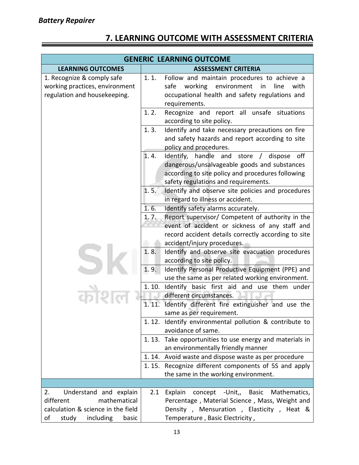| <b>GENERIC LEARNING OUTCOME</b>                                                              |                                                                                                                                                                                                     |  |
|----------------------------------------------------------------------------------------------|-----------------------------------------------------------------------------------------------------------------------------------------------------------------------------------------------------|--|
| <b>LEARNING OUTCOMES</b>                                                                     | <b>ASSESSMENT CRITERIA</b>                                                                                                                                                                          |  |
| 1. Recognize & comply safe<br>working practices, environment<br>regulation and housekeeping. | 1.1.<br>Follow and maintain procedures to achieve a<br>working environment<br>safe<br>in<br>line<br>with<br>occupational health and safety regulations and<br>requirements.                         |  |
|                                                                                              | 1.2.<br>Recognize and report all unsafe situations<br>according to site policy.                                                                                                                     |  |
|                                                                                              | Identify and take necessary precautions on fire<br>1.3.<br>and safety hazards and report according to site<br>policy and procedures.                                                                |  |
|                                                                                              | Identify, handle and<br>1.4.<br>off<br>store / dispose<br>dangerous/unsalvageable goods and substances<br>according to site policy and procedures following<br>safety regulations and requirements. |  |
|                                                                                              | 1.5.<br>Identify and observe site policies and procedures<br>in regard to illness or accident.                                                                                                      |  |
|                                                                                              | 1.6.<br>Identify safety alarms accurately.                                                                                                                                                          |  |
|                                                                                              | Report supervisor/ Competent of authority in the<br>1, 7.<br>event of accident or sickness of any staff and<br>record accident details correctly according to site                                  |  |
|                                                                                              | accident/injury procedures.<br>Identify and observe site evacuation procedures<br>1.8.<br>according to site policy.                                                                                 |  |
|                                                                                              | Identify Personal Productive Equipment (PPE) and<br>1.9.<br>use the same as per related working environment.                                                                                        |  |
|                                                                                              | Identify basic first aid and use them under<br>1.10.<br>different circumstances.                                                                                                                    |  |
|                                                                                              | 1.11.<br>Identify different fire extinguisher and use the<br>same as per requirement.                                                                                                               |  |
|                                                                                              | 1.12. Identify environmental pollution & contribute to<br>avoidance of same.                                                                                                                        |  |
|                                                                                              | 1.13. Take opportunities to use energy and materials in<br>an environmentally friendly manner                                                                                                       |  |
|                                                                                              | 1.14. Avoid waste and dispose waste as per procedure                                                                                                                                                |  |
|                                                                                              | 1.15. Recognize different components of 5S and apply<br>the same in the working environment.                                                                                                        |  |
|                                                                                              |                                                                                                                                                                                                     |  |
| 2.<br>Understand and explain                                                                 | Explain<br>concept -Unit,<br>2.1<br>Basic<br>Mathematics,                                                                                                                                           |  |
| different<br>mathematical                                                                    | Percentage, Material Science, Mass, Weight and                                                                                                                                                      |  |
| calculation & science in the field<br>оf<br>study<br>including<br>basic                      | Density, Mensuration, Elasticity, Heat &<br>Temperature, Basic Electricity,                                                                                                                         |  |
|                                                                                              |                                                                                                                                                                                                     |  |

#### **7. LEARNING OUTCOME WITH ASSESSMENT CRITERIA**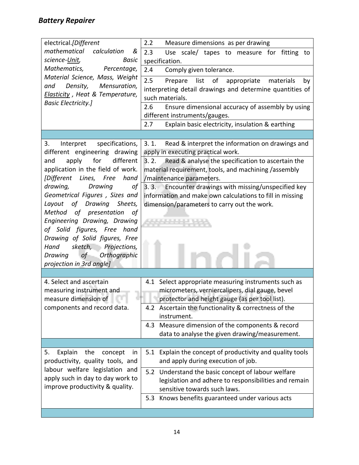#### *Battery Repairer*

| electrical.[Different                 | 2.2<br>Measure dimensions as per drawing                                                           |  |  |
|---------------------------------------|----------------------------------------------------------------------------------------------------|--|--|
| mathematical<br>calculation<br>&      | 2.3<br>Use scale/ tapes to measure for fitting to                                                  |  |  |
| science-Unit,<br>Basic                | specification.                                                                                     |  |  |
| Mathematics,<br>Percentage,           | 2.4<br>Comply given tolerance.                                                                     |  |  |
| Material Science, Mass, Weight        | 2.5<br>list<br>of<br>Prepare<br>appropriate<br>materials<br>by                                     |  |  |
| Density, Mensuration,<br>and          | interpreting detail drawings and determine quantities of                                           |  |  |
| Elasticity, Heat & Temperature,       | such materials.                                                                                    |  |  |
| <b>Basic Electricity.]</b>            | 2.6<br>Ensure dimensional accuracy of assembly by using                                            |  |  |
|                                       | different instruments/gauges.                                                                      |  |  |
|                                       | 2.7<br>Explain basic electricity, insulation & earthing                                            |  |  |
|                                       |                                                                                                    |  |  |
| specifications,<br>3.<br>Interpret    | 3.1.<br>Read & interpret the information on drawings and                                           |  |  |
| different engineering drawing         | apply in executing practical work.                                                                 |  |  |
| apply<br>for<br>different<br>and      | Read & analyse the specification to ascertain the<br>3.2.                                          |  |  |
| application in the field of work.     | material requirement, tools, and machining /assembly                                               |  |  |
| [Different Lines, Free<br>hand        | /maintenance parameters.                                                                           |  |  |
| drawing,<br>Drawing<br>οf             | Encounter drawings with missing/unspecified key<br>3.3.                                            |  |  |
| Geometrical Figures, Sizes and        | information and make own calculations to fill in missing                                           |  |  |
| Layout of Drawing Sheets,             | dimension/parameters to carry out the work.                                                        |  |  |
| Method of presentation<br>of          |                                                                                                    |  |  |
| Engineering Drawing, Drawing          |                                                                                                    |  |  |
| of Solid figures, Free hand           |                                                                                                    |  |  |
| Drawing of Solid figures, Free        |                                                                                                    |  |  |
| sketch, Projections,<br>Hand          |                                                                                                    |  |  |
| of<br>Orthographic<br>Drawing         |                                                                                                    |  |  |
|                                       |                                                                                                    |  |  |
| projection in 3rd angle]              |                                                                                                    |  |  |
|                                       |                                                                                                    |  |  |
| 4. Select and ascertain               | 4.1 Select appropriate measuring instruments such as                                               |  |  |
| measuring instrument and              | micrometers, verniercalipers, dial gauge, bevel                                                    |  |  |
| measure dimension of                  | protector and height gauge (as per tool list).                                                     |  |  |
| components and record data.           | 4.2 Ascertain the functionality & correctness of the<br>instrument.                                |  |  |
|                                       |                                                                                                    |  |  |
|                                       | 4.3 Measure dimension of the components & record<br>data to analyse the given drawing/measurement. |  |  |
|                                       |                                                                                                    |  |  |
| Explain<br>the<br>5.<br>concept<br>in | Explain the concept of productivity and quality tools<br>5.1                                       |  |  |
| productivity, quality tools, and      | and apply during execution of job.                                                                 |  |  |
| labour welfare legislation and        |                                                                                                    |  |  |
| apply such in day to day work to      | 5.2 Understand the basic concept of labour welfare                                                 |  |  |
| improve productivity & quality.       | legislation and adhere to responsibilities and remain<br>sensitive towards such laws.              |  |  |
|                                       | Knows benefits guaranteed under various acts<br>5.3                                                |  |  |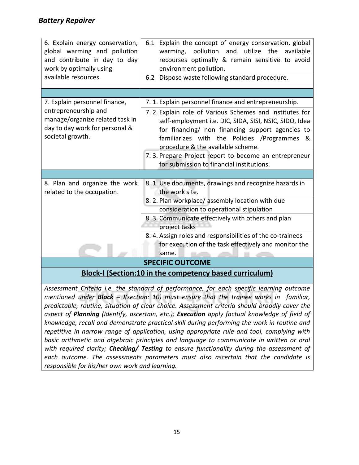#### *Battery Repairer*

| 6. Explain energy conservation,<br>global warming and pollution<br>and contribute in day to day<br>work by optimally using<br>available resources. | 6.1 Explain the concept of energy conservation, global<br>pollution and utilize<br>the<br>available<br>warming,<br>recourses optimally & remain sensitive to avoid<br>environment pollution.<br>6.2 Dispose waste following standard procedure.                                                                                                                    |
|----------------------------------------------------------------------------------------------------------------------------------------------------|--------------------------------------------------------------------------------------------------------------------------------------------------------------------------------------------------------------------------------------------------------------------------------------------------------------------------------------------------------------------|
|                                                                                                                                                    |                                                                                                                                                                                                                                                                                                                                                                    |
| 7. Explain personnel finance,                                                                                                                      | 7. 1. Explain personnel finance and entrepreneurship.                                                                                                                                                                                                                                                                                                              |
| entrepreneurship and<br>manage/organize related task in<br>day to day work for personal &<br>societal growth.                                      | 7.2. Explain role of Various Schemes and Institutes for<br>self-employment i.e. DIC, SIDA, SISI, NSIC, SIDO, Idea<br>for financing/ non financing support agencies to<br>familiarizes with the Policies / Programmes &<br>procedure & the available scheme.<br>7. 3. Prepare Project report to become an entrepreneur<br>for submission to financial institutions. |
|                                                                                                                                                    |                                                                                                                                                                                                                                                                                                                                                                    |
| 8. Plan and organize the work<br>related to the occupation.                                                                                        | 8. 1. Use documents, drawings and recognize hazards in<br>the work site.                                                                                                                                                                                                                                                                                           |
|                                                                                                                                                    | 8. 2. Plan workplace/ assembly location with due                                                                                                                                                                                                                                                                                                                   |
|                                                                                                                                                    | consideration to operational stipulation                                                                                                                                                                                                                                                                                                                           |
|                                                                                                                                                    | 8. 3. Communicate effectively with others and plan<br>project tasks                                                                                                                                                                                                                                                                                                |
|                                                                                                                                                    | 8. 4. Assign roles and responsibilities of the co-trainees                                                                                                                                                                                                                                                                                                         |
|                                                                                                                                                    | for execution of the task effectively and monitor the<br>same.                                                                                                                                                                                                                                                                                                     |
|                                                                                                                                                    | <b>SPECIFIC OUTCOME</b>                                                                                                                                                                                                                                                                                                                                            |
|                                                                                                                                                    | <b>Block-I (Section:10 in the competency based curriculum)</b>                                                                                                                                                                                                                                                                                                     |

*Assessment Criteria i.e. the standard of performance, for each specific learning outcome mentioned under Block – I(section: 10) must ensure that the trainee works in familiar, predictable, routine, situation of clear choice. Assessment criteria should broadly cover the aspect of Planning (Identify, ascertain, etc.); Execution apply factual knowledge of field of knowledge, recall and demonstrate practical skill during performing the work in routine and repetitive in narrow range of application, using appropriate rule and tool, complying with basic arithmetic and algebraic principles and language to communicate in written or oral with required clarity; Checking/ Testing to ensure functionality during the assessment of each outcome. The assessments parameters must also ascertain that the candidate is responsible for his/her own work and learning.*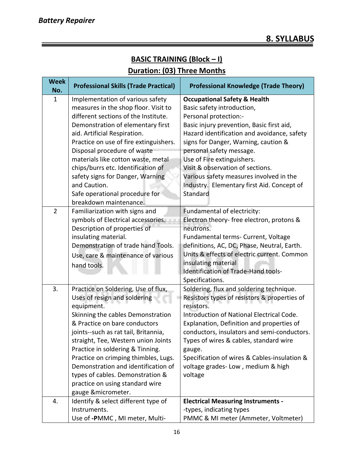#### **BASIC TRAINING (Block – I) Duration: (03) Three Months**

| <b>Week</b><br>No. | <b>Professional Skills (Trade Practical)</b>                                                                                                                                                                                                                                                                                                                                                                                                               | <b>Professional Knowledge (Trade Theory)</b>                                                                                                                                                                                                                                                                                                                                                                                          |
|--------------------|------------------------------------------------------------------------------------------------------------------------------------------------------------------------------------------------------------------------------------------------------------------------------------------------------------------------------------------------------------------------------------------------------------------------------------------------------------|---------------------------------------------------------------------------------------------------------------------------------------------------------------------------------------------------------------------------------------------------------------------------------------------------------------------------------------------------------------------------------------------------------------------------------------|
| $\mathbf{1}$       | Implementation of various safety<br>measures in the shop floor. Visit to<br>different sections of the Institute.<br>Demonstration of elementary first<br>aid. Artificial Respiration.<br>Practice on use of fire extinguishers.<br>Disposal procedure of waste<br>materials like cotton waste, metal<br>chips/burrs etc. Identification of<br>safety signs for Danger, Warning<br>and Caution.<br>Safe operational procedure for<br>breakdown maintenance. | <b>Occupational Safety &amp; Health</b><br>Basic safety introduction,<br>Personal protection:-<br>Basic injury prevention, Basic first aid,<br>Hazard identification and avoidance, safety<br>signs for Danger, Warning, caution &<br>personal safety message.<br>Use of Fire extinguishers.<br>Visit & observation of sections.<br>Various safety measures involved in the<br>Industry. Elementary first Aid. Concept of<br>Standard |
| $\overline{2}$     | Familiarization with signs and<br>symbols of Electrical accessories.<br>Description of properties of<br>insulating material.<br>Demonstration of trade hand Tools.<br>Use, care & maintenance of various<br>hand tools.                                                                                                                                                                                                                                    | Fundamental of electricity:<br>Electron theory- free electron, protons &<br>neutrons.<br>Fundamental terms- Current, Voltage<br>definitions, AC, DC, Phase, Neutral, Earth.<br>Units & effects of electric current. Common<br>insulating material<br>Identification of Trade-Hand tools-<br>Specifications.                                                                                                                           |
| 3.                 | Practice on Soldering, Use of flux,<br>Uses of resign and soldering<br>equipment.<br>Skinning the cables Demonstration<br>& Practice on bare conductors<br>joints--such as rat tail, Britannia,<br>straight, Tee, Western union Joints<br>Practice in soldering & Tinning.<br>Practice on crimping thimbles, Lugs.<br>Demonstration and identification of<br>types of cables. Demonstration &<br>practice on using standard wire<br>gauge &micrometer.     | Soldering, flux and soldering technique.<br>Resistors types of resistors & properties of<br>resistors.<br>Introduction of National Electrical Code.<br>Explanation, Definition and properties of<br>conductors, insulators and semi-conductors.<br>Types of wires & cables, standard wire<br>gauge.<br>Specification of wires & Cables-insulation &<br>voltage grades-Low, medium & high<br>voltage                                   |
| 4.                 | Identify & select different type of<br>Instruments.<br>Use of -PMMC, MI meter, Multi-                                                                                                                                                                                                                                                                                                                                                                      | <b>Electrical Measuring Instruments -</b><br>-types, indicating types<br>PMMC & MI meter (Ammeter, Voltmeter)                                                                                                                                                                                                                                                                                                                         |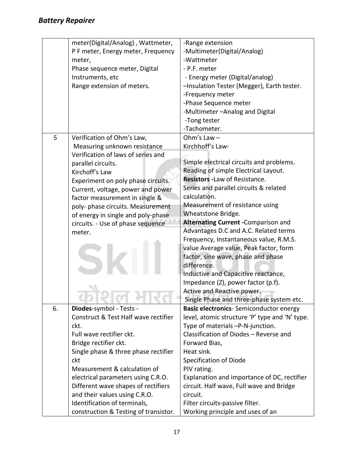|    | meter(Digital/Analog), Wattmeter,<br>P F meter, Energy meter, Frequency<br>meter,<br>Phase sequence meter, Digital<br>Instruments, etc<br>Range extension of meters.                                                                                                                                              | -Range extension<br>-Multimeter(Digital/Analog)<br>-Wattmeter<br>- P.F. meter<br>- Energy meter (Digital/analog)<br>-Insulation Tester (Megger), Earth tester.<br>-Frequency meter<br>-Phase Sequence meter<br>-Multimeter - Analog and Digital<br>-Tong tester<br>-Tachometer.                                                                                                                                                                                                                                                                                                                                               |
|----|-------------------------------------------------------------------------------------------------------------------------------------------------------------------------------------------------------------------------------------------------------------------------------------------------------------------|-------------------------------------------------------------------------------------------------------------------------------------------------------------------------------------------------------------------------------------------------------------------------------------------------------------------------------------------------------------------------------------------------------------------------------------------------------------------------------------------------------------------------------------------------------------------------------------------------------------------------------|
| 5  | Verification of Ohm's Law,                                                                                                                                                                                                                                                                                        | Ohm's Law $-$                                                                                                                                                                                                                                                                                                                                                                                                                                                                                                                                                                                                                 |
|    | Measuring unknown resistance                                                                                                                                                                                                                                                                                      | Kirchhoff's Law-                                                                                                                                                                                                                                                                                                                                                                                                                                                                                                                                                                                                              |
|    | Verification of laws of series and<br>parallel circuits.<br>Kirchoff's Law<br>Experiment on poly phase circuits.<br>Current, voltage, power and power<br>factor measurement in single &<br>poly- phase circuits. Measurement<br>of energy in single and poly-phase<br>circuits. - Use of phase sequence<br>meter. | Simple electrical circuits and problems.<br>Reading of simple Electrical Layout.<br><b>Resistors - Law of Resistance.</b><br>Series and parallel circuits & related<br>calculation.<br>Measurement of resistance using<br>Wheatstone Bridge.<br>Alternating Current - Comparison and<br>Advantages D.C and A.C. Related terms<br>Frequency, Instantaneous value, R.M.S.<br>value Average value, Peak factor, form<br>factor, sine wave, phase and phase<br>difference.<br>Inductive and Capacitive reactance,<br>Impedance (Z), power factor (p.f).<br>Active and Reactive power.<br>Single Phase and three-phase system etc. |
| 6. | Diodes-symbol - Tests -                                                                                                                                                                                                                                                                                           | <b>Basic electronics-</b> Semiconductor energy                                                                                                                                                                                                                                                                                                                                                                                                                                                                                                                                                                                |
|    | Construct & Test Half wave rectifier                                                                                                                                                                                                                                                                              | level, atomic structure 'P' type and 'N' type.                                                                                                                                                                                                                                                                                                                                                                                                                                                                                                                                                                                |
|    | ckt.                                                                                                                                                                                                                                                                                                              | Type of materials -P-N-junction.                                                                                                                                                                                                                                                                                                                                                                                                                                                                                                                                                                                              |
|    | Full wave rectifier ckt.                                                                                                                                                                                                                                                                                          | Classification of Diodes - Reverse and                                                                                                                                                                                                                                                                                                                                                                                                                                                                                                                                                                                        |
|    | Bridge rectifier ckt.                                                                                                                                                                                                                                                                                             | Forward Bias,<br>Heat sink.                                                                                                                                                                                                                                                                                                                                                                                                                                                                                                                                                                                                   |
|    | Single phase & three phase rectifier<br>ckt                                                                                                                                                                                                                                                                       | Specification of Diode                                                                                                                                                                                                                                                                                                                                                                                                                                                                                                                                                                                                        |
|    | Measurement & calculation of                                                                                                                                                                                                                                                                                      | PIV rating.                                                                                                                                                                                                                                                                                                                                                                                                                                                                                                                                                                                                                   |
|    | electrical parameters using C.R.O.                                                                                                                                                                                                                                                                                | Explanation and importance of DC, rectifier                                                                                                                                                                                                                                                                                                                                                                                                                                                                                                                                                                                   |
|    | Different wave shapes of rectifiers                                                                                                                                                                                                                                                                               | circuit. Half wave, Full wave and Bridge                                                                                                                                                                                                                                                                                                                                                                                                                                                                                                                                                                                      |
|    | and their values using C.R.O.                                                                                                                                                                                                                                                                                     | circuit.                                                                                                                                                                                                                                                                                                                                                                                                                                                                                                                                                                                                                      |
|    | Identification of terminals,                                                                                                                                                                                                                                                                                      | Filter circuits-passive filter.                                                                                                                                                                                                                                                                                                                                                                                                                                                                                                                                                                                               |
|    | construction & Testing of transistor.                                                                                                                                                                                                                                                                             | Working principle and uses of an                                                                                                                                                                                                                                                                                                                                                                                                                                                                                                                                                                                              |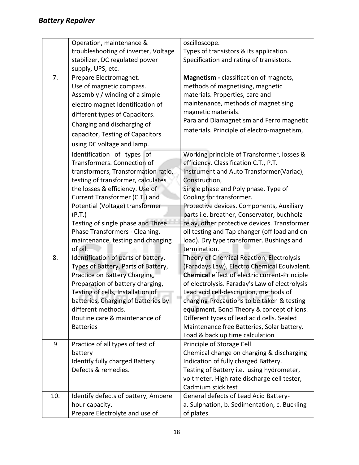|     | Operation, maintenance &              | oscilloscope.                                        |
|-----|---------------------------------------|------------------------------------------------------|
|     | troubleshooting of inverter, Voltage  | Types of transistors & its application.              |
|     | stabilizer, DC regulated power        | Specification and rating of transistors.             |
|     | supply, UPS, etc.                     |                                                      |
| 7.  | Prepare Electromagnet.                | Magnetism - classification of magnets,               |
|     | Use of magnetic compass.              | methods of magnetising, magnetic                     |
|     | Assembly / winding of a simple        | materials. Properties, care and                      |
|     | electro magnet Identification of      | maintenance, methods of magnetising                  |
|     | different types of Capacitors.        | magnetic materials.                                  |
|     | Charging and discharging of           | Para and Diamagnetism and Ferro magnetic             |
|     | capacitor, Testing of Capacitors      | materials. Principle of electro-magnetism,           |
|     | using DC voltage and lamp.            |                                                      |
|     | Identification of types of            | Working principle of Transformer, losses &           |
|     | Transformers. Connection of           | efficiency. Classification C.T., P.T.                |
|     | transformers, Transformation ratio,   | Instrument and Auto Transformer(Variac),             |
|     | testing of transformer, calculates    | Construction,                                        |
|     | the losses & efficiency. Use of       | Single phase and Poly phase. Type of                 |
|     | Current Transformer (C.T.) and        | Cooling for transformer.                             |
|     | Potential (Voltage) transformer       | Protective devices. Components, Auxiliary            |
|     | (P.T.)                                | parts i.e. breather, Conservator, buchholz           |
|     | Testing of single phase and Three     | relay, other protective devices. Transformer         |
|     | Phase Transformers - Cleaning,        | oil testing and Tap changer (off load and on         |
|     | maintenance, testing and changing     | load). Dry type transformer. Bushings and            |
|     | of oil.                               | termination.                                         |
| 8.  | Identification of parts of battery.   | Theory of Chemical Reaction, Electrolysis            |
|     | Types of Battery, Parts of Battery,   | (Faradays Law), Electro Chemical Equivalent.         |
|     | Practice on Battery Charging,         | <b>Chemical effect of electric current-Principle</b> |
|     | Preparation of battery charging,      | of electrolysis. Faraday's Law of electrolysis       |
|     | Testing of cells, Installation of     | Lead acid cell-description, methods of               |
|     | batteries, Charging of batteries by   | charging-Precautions to be taken & testing           |
|     | different methods.                    | equipment, Bond Theory & concept of ions.            |
|     | Routine care & maintenance of         | Different types of lead acid cells. Sealed           |
|     | <b>Batteries</b>                      | Maintenance free Batteries, Solar battery.           |
|     |                                       | Load & back up time calculation                      |
| 9   | Practice of all types of test of      | Principle of Storage Cell                            |
|     | battery                               | Chemical change on charging & discharging            |
|     | <b>Identify fully charged Battery</b> | Indication of fully charged Battery.                 |
|     | Defects & remedies.                   | Testing of Battery i.e. using hydrometer,            |
|     |                                       | voltmeter, High rate discharge cell tester,          |
|     |                                       | Cadmium stick test                                   |
| 10. | Identify defects of battery, Ampere   | General defects of Lead Acid Battery-                |
|     | hour capacity.                        | a. Sulphation, b. Sedimentation, c. Buckling         |
|     | Prepare Electrolyte and use of        | of plates.                                           |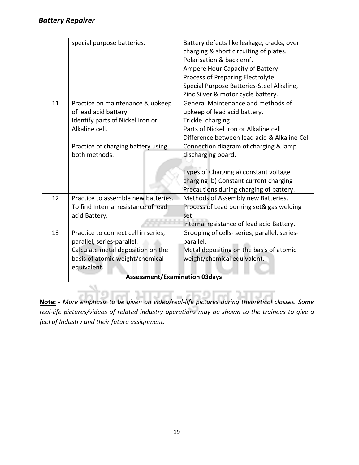|    | special purpose batteries.           | Battery defects like leakage, cracks, over   |
|----|--------------------------------------|----------------------------------------------|
|    |                                      | charging & short circuiting of plates.       |
|    |                                      | Polarisation & back emf.                     |
|    |                                      | Ampere Hour Capacity of Battery              |
|    |                                      | <b>Process of Preparing Electrolyte</b>      |
|    |                                      | Special Purpose Batteries-Steel Alkaline,    |
|    |                                      | Zinc Silver & motor cycle battery.           |
| 11 | Practice on maintenance & upkeep     | General Maintenance and methods of           |
|    | of lead acid battery.                | upkeep of lead acid battery.                 |
|    | Identify parts of Nickel Iron or     | Trickle charging                             |
|    | Alkaline cell.                       | Parts of Nickel Iron or Alkaline cell        |
|    |                                      | Difference between lead acid & Alkaline Cell |
|    | Practice of charging battery using   | Connection diagram of charging & lamp        |
|    | both methods.                        | discharging board.                           |
|    |                                      |                                              |
|    |                                      | Types of Charging a) constant voltage        |
|    |                                      | charging b) Constant current charging        |
|    |                                      | Precautions during charging of battery.      |
| 12 | Practice to assemble new batteries.  | Methods of Assembly new Batteries.           |
|    | To find Internal resistance of lead  | Process of Lead burning set& gas welding     |
|    | acid Battery.                        | set                                          |
|    |                                      | Internal resistance of lead acid Battery.    |
| 13 | Practice to connect cell in series,  | Grouping of cells- series, parallel, series- |
|    | parallel, series-parallel.           | parallel.                                    |
|    | Calculate metal deposition on the    | Metal depositing on the basis of atomic      |
|    | basis of atomic weight/chemical      | weight/chemical equivalent.                  |
|    | equivalent.                          |                                              |
|    | <b>Assessment/Examination 03days</b> |                                              |

**Note: -** *More emphasis to be given on video/real-life pictures during theoretical classes. Some real-life pictures/videos of related industry operations may be shown to the trainees to give a feel of Industry and their future assignment.*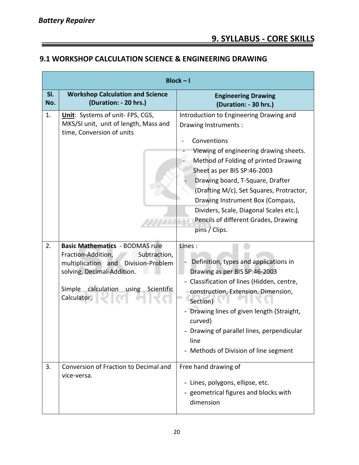#### **9.1 WORKSHOP CALCULATION SCIENCE & ENGINEERING DRAWING**

| $Block - I$ |                                                                                                                                                                                                                  |                                                                                                                                                                                                                                                                                                                                                                                                                         |  |
|-------------|------------------------------------------------------------------------------------------------------------------------------------------------------------------------------------------------------------------|-------------------------------------------------------------------------------------------------------------------------------------------------------------------------------------------------------------------------------------------------------------------------------------------------------------------------------------------------------------------------------------------------------------------------|--|
| SI.<br>No.  | <b>Workshop Calculation and Science</b><br>(Duration: - 20 hrs.)                                                                                                                                                 | <b>Engineering Drawing</b><br>(Duration: - 30 hrs.)                                                                                                                                                                                                                                                                                                                                                                     |  |
| 1.          | Unit: Systems of unit- FPS, CGS,<br>MKS/SI unit, unit of length, Mass and<br>time, Conversion of units                                                                                                           | Introduction to Engineering Drawing and<br>Drawing Instruments:<br>Conventions<br>Viewing of engineering drawing sheets.<br>Method of Folding of printed Drawing<br>Sheet as per BIS SP:46-2003<br>Drawing board, T-Square, Drafter<br>(Drafting M/c), Set Squares, Protractor,<br>Drawing Instrument Box (Compass,<br>Dividers, Scale, Diagonal Scales etc.),<br>Pencils of different Grades, Drawing<br>pins / Clips. |  |
| 2.          | <b>Basic Mathematics - BODMAS rule</b><br>Fraction-Addition,<br>Subtraction,<br>multiplication<br>Division-Problem<br>and<br>solving, Decimal-Addition.<br>Simple<br>calculation using Scientific<br>Calculator. | Lines:<br>Definition, types and applications in<br>Drawing as per BIS SP:46-2003<br>Classification of lines (Hidden, centre,<br>construction, Extension, Dimension,<br>Section)<br>- Drawing lines of given length (Straight,<br>curved)<br>Drawing of parallel lines, perpendicular<br>line<br>- Methods of Division of line segment                                                                                   |  |
| 3.          | Conversion of Fraction to Decimal and<br>vice-versa.                                                                                                                                                             | Free hand drawing of<br>- Lines, polygons, ellipse, etc.<br>- geometrical figures and blocks with<br>dimension                                                                                                                                                                                                                                                                                                          |  |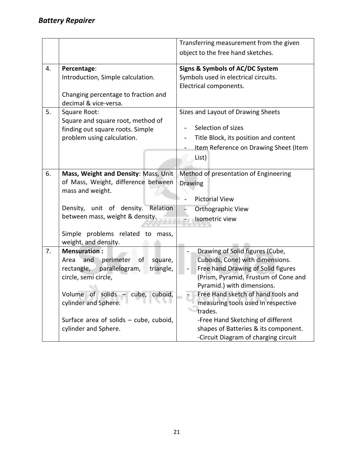|                                           | Transferring measurement from the given                                                                                                                                                                                                                                                                                                                                                                                                                                                                                          |
|-------------------------------------------|----------------------------------------------------------------------------------------------------------------------------------------------------------------------------------------------------------------------------------------------------------------------------------------------------------------------------------------------------------------------------------------------------------------------------------------------------------------------------------------------------------------------------------|
|                                           | object to the free hand sketches.                                                                                                                                                                                                                                                                                                                                                                                                                                                                                                |
| Percentage:                               | Signs & Symbols of AC/DC System                                                                                                                                                                                                                                                                                                                                                                                                                                                                                                  |
| Introduction, Simple calculation.         | Symbols used in electrical circuits.                                                                                                                                                                                                                                                                                                                                                                                                                                                                                             |
|                                           | Electrical components.                                                                                                                                                                                                                                                                                                                                                                                                                                                                                                           |
| decimal & vice-versa.                     |                                                                                                                                                                                                                                                                                                                                                                                                                                                                                                                                  |
| Square Root:                              | Sizes and Layout of Drawing Sheets                                                                                                                                                                                                                                                                                                                                                                                                                                                                                               |
|                                           |                                                                                                                                                                                                                                                                                                                                                                                                                                                                                                                                  |
|                                           | Selection of sizes                                                                                                                                                                                                                                                                                                                                                                                                                                                                                                               |
|                                           | Title Block, its position and content                                                                                                                                                                                                                                                                                                                                                                                                                                                                                            |
|                                           | Item Reference on Drawing Sheet (Item                                                                                                                                                                                                                                                                                                                                                                                                                                                                                            |
|                                           | List)                                                                                                                                                                                                                                                                                                                                                                                                                                                                                                                            |
|                                           |                                                                                                                                                                                                                                                                                                                                                                                                                                                                                                                                  |
|                                           | Method of presentation of Engineering                                                                                                                                                                                                                                                                                                                                                                                                                                                                                            |
|                                           | Drawing                                                                                                                                                                                                                                                                                                                                                                                                                                                                                                                          |
|                                           | <b>Pictorial View</b>                                                                                                                                                                                                                                                                                                                                                                                                                                                                                                            |
|                                           | Orthographic View                                                                                                                                                                                                                                                                                                                                                                                                                                                                                                                |
|                                           | Isometric view                                                                                                                                                                                                                                                                                                                                                                                                                                                                                                                   |
|                                           |                                                                                                                                                                                                                                                                                                                                                                                                                                                                                                                                  |
| Simple problems related to mass,          |                                                                                                                                                                                                                                                                                                                                                                                                                                                                                                                                  |
| weight, and density.                      |                                                                                                                                                                                                                                                                                                                                                                                                                                                                                                                                  |
| <b>Mensuration:</b>                       | Drawing of Solid figures (Cube,                                                                                                                                                                                                                                                                                                                                                                                                                                                                                                  |
| and<br>perimeter<br>of<br>square,<br>Area | Cuboids, Cone) with dimensions.                                                                                                                                                                                                                                                                                                                                                                                                                                                                                                  |
|                                           | Free hand Drawing of Solid figures                                                                                                                                                                                                                                                                                                                                                                                                                                                                                               |
|                                           | (Prism, Pyramid, Frustum of Cone and                                                                                                                                                                                                                                                                                                                                                                                                                                                                                             |
|                                           | Pyramid.) with dimensions.                                                                                                                                                                                                                                                                                                                                                                                                                                                                                                       |
|                                           | Free Hand sketch of hand tools and                                                                                                                                                                                                                                                                                                                                                                                                                                                                                               |
|                                           | measuring tools used in respective<br>trades.                                                                                                                                                                                                                                                                                                                                                                                                                                                                                    |
|                                           | -Free Hand Sketching of different                                                                                                                                                                                                                                                                                                                                                                                                                                                                                                |
|                                           | shapes of Batteries & its component.                                                                                                                                                                                                                                                                                                                                                                                                                                                                                             |
|                                           |                                                                                                                                                                                                                                                                                                                                                                                                                                                                                                                                  |
|                                           | Changing percentage to fraction and<br>Square and square root, method of<br>finding out square roots. Simple<br>problem using calculation.<br>Mass, Weight and Density: Mass, Unit-<br>of Mass, Weight, difference between<br>mass and weight.<br>Density, unit of density.<br>Relation<br>between mass, weight & density.<br>parallelogram,<br>rectangle,<br>triangle,<br>circle, semi circle,<br>Volume of solids<br>- cube, cuboid,<br>cylinder and Sphere.<br>Surface area of solids - cube, cuboid,<br>cylinder and Sphere. |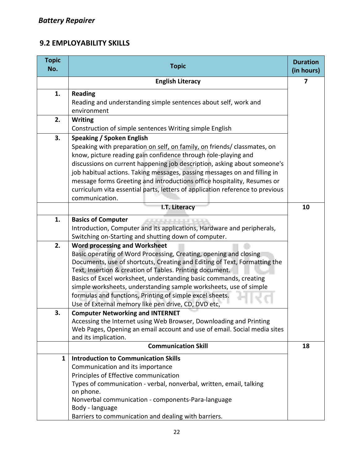#### **9.2 EMPLOYABILITY SKILLS**

| <b>Topic</b><br>No. | <b>Topic</b>                                                                                                                                                                                                                                                                                                                                                                                                                                                                                                          | <b>Duration</b><br>(in hours) |
|---------------------|-----------------------------------------------------------------------------------------------------------------------------------------------------------------------------------------------------------------------------------------------------------------------------------------------------------------------------------------------------------------------------------------------------------------------------------------------------------------------------------------------------------------------|-------------------------------|
|                     | <b>English Literacy</b>                                                                                                                                                                                                                                                                                                                                                                                                                                                                                               | 7                             |
| 1.                  | <b>Reading</b><br>Reading and understanding simple sentences about self, work and<br>environment                                                                                                                                                                                                                                                                                                                                                                                                                      |                               |
| 2.                  | <b>Writing</b><br>Construction of simple sentences Writing simple English                                                                                                                                                                                                                                                                                                                                                                                                                                             |                               |
| 3.                  | <b>Speaking / Spoken English</b><br>Speaking with preparation on self, on family, on friends/ classmates, on<br>know, picture reading gain confidence through role-playing and<br>discussions on current happening job description, asking about someone's<br>job habitual actions. Taking messages, passing messages on and filling in<br>message forms Greeting and introductions office hospitality, Resumes or<br>curriculum vita essential parts, letters of application reference to previous<br>communication. |                               |
|                     | I.T. Literacy                                                                                                                                                                                                                                                                                                                                                                                                                                                                                                         |                               |
| 1.                  | <b>Basics of Computer</b><br>Introduction, Computer and its applications, Hardware and peripherals,<br>Switching on-Starting and shutting down of computer.                                                                                                                                                                                                                                                                                                                                                           |                               |
| 2.                  | <b>Word processing and Worksheet</b><br>Basic operating of Word Processing, Creating, opening and closing<br>Documents, use of shortcuts, Creating and Editing of Text, Formatting the<br>Text, Insertion & creation of Tables. Printing document.<br>Basics of Excel worksheet, understanding basic commands, creating<br>simple worksheets, understanding sample worksheets, use of simple<br>formulas and functions, Printing of simple excel sheets.<br>Use of External memory like pen drive, CD, DVD etc,       |                               |
| 3.                  | <b>Computer Networking and INTERNET</b><br>Accessing the Internet using Web Browser, Downloading and Printing<br>Web Pages, Opening an email account and use of email. Social media sites<br>and its implication.                                                                                                                                                                                                                                                                                                     |                               |
|                     | <b>Communication Skill</b>                                                                                                                                                                                                                                                                                                                                                                                                                                                                                            | 18                            |
| $\mathbf{1}$        | <b>Introduction to Communication Skills</b><br>Communication and its importance<br>Principles of Effective communication<br>Types of communication - verbal, nonverbal, written, email, talking<br>on phone.<br>Nonverbal communication - components-Para-language<br>Body - language<br>Barriers to communication and dealing with barriers.                                                                                                                                                                         |                               |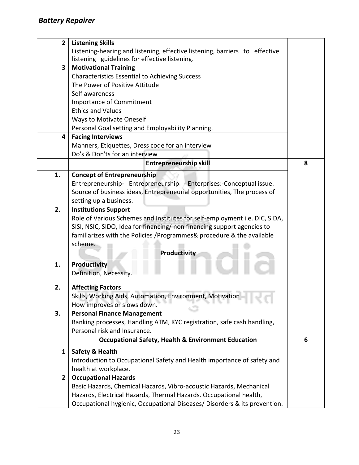| $\overline{2}$          | <b>Listening Skills</b>                                                     |   |  |
|-------------------------|-----------------------------------------------------------------------------|---|--|
|                         | Listening-hearing and listening, effective listening, barriers to effective |   |  |
|                         | listening guidelines for effective listening.                               |   |  |
| $\overline{\mathbf{3}}$ | <b>Motivational Training</b>                                                |   |  |
|                         | <b>Characteristics Essential to Achieving Success</b>                       |   |  |
|                         | The Power of Positive Attitude                                              |   |  |
|                         | Self awareness                                                              |   |  |
|                         | <b>Importance of Commitment</b>                                             |   |  |
|                         | <b>Ethics and Values</b>                                                    |   |  |
|                         | <b>Ways to Motivate Oneself</b>                                             |   |  |
|                         | Personal Goal setting and Employability Planning.                           |   |  |
| 4                       | <b>Facing Interviews</b>                                                    |   |  |
|                         | Manners, Etiquettes, Dress code for an interview                            |   |  |
|                         | Do's & Don'ts for an interview                                              |   |  |
|                         | <b>Entrepreneurship skill</b>                                               | 8 |  |
| 1.                      | <b>Concept of Entrepreneurship</b>                                          |   |  |
|                         | Entrepreneurship- Entrepreneurship - Enterprises:-Conceptual issue.         |   |  |
|                         | Source of business ideas, Entrepreneurial opportunities, The process of     |   |  |
|                         | setting up a business.                                                      |   |  |
| 2.                      | <b>Institutions Support</b>                                                 |   |  |
|                         | Role of Various Schemes and Institutes for self-employment i.e. DIC, SIDA,  |   |  |
|                         | SISI, NSIC, SIDO, Idea for financing/ non financing support agencies to     |   |  |
|                         | familiarizes with the Policies / Programmes & procedure & the available     |   |  |
|                         | scheme.                                                                     |   |  |
|                         | Productivity                                                                |   |  |
|                         |                                                                             |   |  |
| 1.                      | <b>Productivity</b>                                                         |   |  |
|                         | Definition, Necessity.                                                      |   |  |
| 2.                      | <b>Affecting Factors</b>                                                    |   |  |
|                         | Skills, Working Aids, Automation, Environment, Motivation                   |   |  |
|                         | How improves or slows down.                                                 |   |  |
| 3.                      | <b>Personal Finance Management</b>                                          |   |  |
|                         | Banking processes, Handling ATM, KYC registration, safe cash handling,      |   |  |
|                         | Personal risk and Insurance.                                                |   |  |
|                         | <b>Occupational Safety, Health &amp; Environment Education</b>              | 6 |  |
| 1                       | Safety & Health                                                             |   |  |
|                         | Introduction to Occupational Safety and Health importance of safety and     |   |  |
|                         | health at workplace.                                                        |   |  |
| $\overline{2}$          | <b>Occupational Hazards</b>                                                 |   |  |
|                         | Basic Hazards, Chemical Hazards, Vibro-acoustic Hazards, Mechanical         |   |  |
|                         | Hazards, Electrical Hazards, Thermal Hazards. Occupational health,          |   |  |
|                         | Occupational hygienic, Occupational Diseases/ Disorders & its prevention.   |   |  |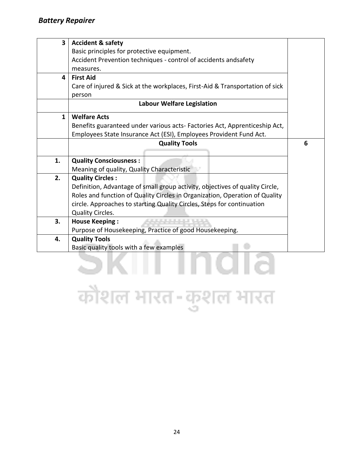| $\overline{\mathbf{3}}$ | <b>Accident &amp; safety</b>                                                 |   |
|-------------------------|------------------------------------------------------------------------------|---|
|                         | Basic principles for protective equipment.                                   |   |
|                         | Accident Prevention techniques - control of accidents andsafety              |   |
|                         | measures.                                                                    |   |
| 4                       | <b>First Aid</b>                                                             |   |
|                         | Care of injured & Sick at the workplaces, First-Aid & Transportation of sick |   |
|                         | person                                                                       |   |
|                         | <b>Labour Welfare Legislation</b>                                            |   |
| $\mathbf{1}$            | <b>Welfare Acts</b>                                                          |   |
|                         | Benefits guaranteed under various acts- Factories Act, Apprenticeship Act,   |   |
|                         | Employees State Insurance Act (ESI), Employees Provident Fund Act.           |   |
|                         | <b>Quality Tools</b>                                                         | 6 |
|                         |                                                                              |   |
| 1.                      | <b>Quality Consciousness:</b>                                                |   |
|                         | Meaning of quality, Quality Characteristic                                   |   |
| 2.                      | <b>Quality Circles:</b>                                                      |   |
|                         | Definition, Advantage of small group activity, objectives of quality Circle, |   |
|                         | Roles and function of Quality Circles in Organization, Operation of Quality  |   |
|                         | circle. Approaches to starting Quality Circles, Steps for continuation       |   |
|                         | <b>Quality Circles.</b>                                                      |   |
| 3.                      | <b>House Keeping:</b>                                                        |   |
|                         | Purpose of Housekeeping, Practice of good Housekeeping.                      |   |
| 4.                      | <b>Quality Tools</b>                                                         |   |
|                         | Basic quality tools with a few examples                                      |   |
|                         |                                                                              |   |

### कोशल भारत-कुशल भारत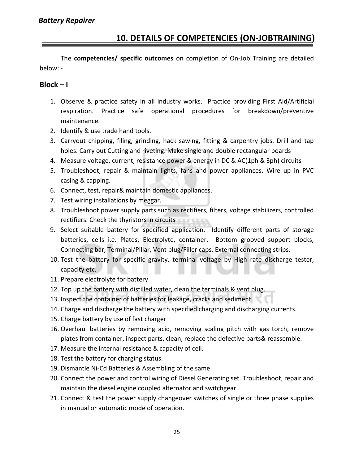#### **10. DETAILS OF COMPETENCIES (ON-JOBTRAINING)**

The **competencies/ specific outcomes** on completion of On-Job Training are detailed below: -

#### $Block - I$

- 1. Observe & practice safety in all industry works. Practice providing First Aid/Artificial respiration. Practice safe operational procedures for breakdown/preventive maintenance.
- 2. Identify & use trade hand tools.
- 3. Carryout chipping, filing, grinding, hack sawing, fitting & carpentry jobs. Drill and tap holes. Carry out Cutting and riveting. Make single and double rectangular boards
- 4. Measure voltage, current, resistance power & energy in DC & AC(1ph & 3ph) circuits
- 5. Troubleshoot, repair & maintain lights, fans and power appliances. Wire up in PVC casing & capping.
- 6. Connect, test, repair& maintain domestic appliances.
- 7. Test wiring installations by meggar.
- 8. Troubleshoot power supply parts such as rectifiers, filters, voltage stabilizers, controlled rectifiers. Check the thyristors in circuits
- 9. Select suitable battery for specified application. Identify different parts of storage batteries, cells i.e. Plates, Electrolyte, container. Bottom grooved support blocks, Connecting bar, Terminal/Pillar, Vent plug/Filler caps, External connecting strips.
- 10. Test the battery for specific gravity, terminal voltage by High rate discharge tester, capacity etc.
- 11. Prepare electrolyte for battery.
- 12. Top up the battery with distilled water, clean the terminals & vent plug.
- 13. Inspect the container of batteries for leakage, cracks and sediment.
- 14. Charge and discharge the battery with specified charging and discharging currents.
- 15. Charge battery by use of fast charger
- 16. Overhaul batteries by removing acid, removing scaling pitch with gas torch, remove plates from container, inspect parts, clean, replace the defective parts& reassemble.
- 17. Measure the internal resistance & capacity of cell.
- 18. Test the battery for charging status.
- 19. Dismantle Ni-Cd Batteries & Assembling of the same.
- 20. Connect the power and control wiring of Diesel Generating set. Troubleshoot, repair and maintain the diesel engine coupled alternator and switchgear.
- 21. Connect & test the power supply changeover switches of single or three phase supplies in manual or automatic mode of operation.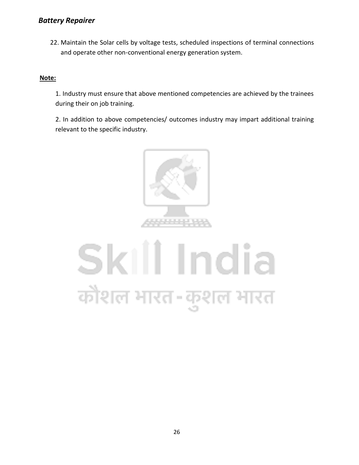#### *Battery Repairer*

22. Maintain the Solar cells by voltage tests, scheduled inspections of terminal connections and operate other non-conventional energy generation system.

#### **Note:**

1. Industry must ensure that above mentioned competencies are achieved by the trainees during their on job training.

2. In addition to above competencies/ outcomes industry may impart additional training relevant to the specific industry.



## Skill India कौशल भारत-कुशल भारत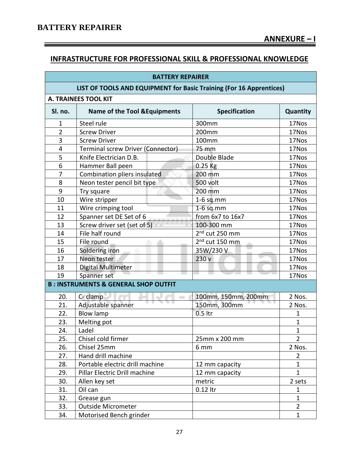Ξ

#### **INFRASTRUCTURE FOR PROFESSIONAL SKILL & PROFESSIONAL KNOWLEDGE**

| <b>BATTERY REPAIRER</b>                                             |                                                 |                            |                |
|---------------------------------------------------------------------|-------------------------------------------------|----------------------------|----------------|
| LIST OF TOOLS AND EQUIPMENT for Basic Training (For 16 Apprentices) |                                                 |                            |                |
|                                                                     | <b>A. TRAINEES TOOL KIT</b>                     |                            |                |
| Sl. no.                                                             | <b>Name of the Tool &amp; Equipments</b>        | <b>Specification</b>       | Quantity       |
| $\mathbf{1}$                                                        | Steel rule                                      | 300mm                      | 17Nos          |
| $\overline{2}$                                                      | <b>Screw Driver</b>                             | 200mm                      | 17Nos          |
| $\overline{3}$                                                      | <b>Screw Driver</b>                             | 100mm                      | 17Nos          |
| 4                                                                   | Terminal screw Driver (Connector)               | 75 mm                      | 17Nos          |
| 5                                                                   | Knife Electrician D.B.                          | Double Blade               | 17Nos          |
| 6                                                                   | Hammer Ball peen                                | 0.25 Kg                    | 17Nos          |
| $\overline{7}$                                                      | Combination pliers insulated                    | 200 mm                     | 17Nos          |
| 8                                                                   | Neon tester pencil bit type                     | 500 volt                   | 17Nos          |
| 9                                                                   | Try square                                      | 200 mm                     | 17Nos          |
| 10                                                                  | Wire stripper                                   | $1-6$ sq.mm                | 17Nos          |
| 11                                                                  | Wire crimping tool                              | $1-6$ sq.mm                | 17Nos          |
| 12                                                                  | Spanner set DE Set of 6                         | from 6x7 to 16x7           | 17Nos          |
| 13                                                                  | Screw driver set (set of 5)                     | 100-300 mm                 | 17Nos          |
| 14                                                                  | File half round                                 | 2 <sup>nd</sup> cut 250 mm | 17Nos          |
| 15                                                                  | File round                                      | 2 <sup>nd</sup> cut 150 mm | 17Nos          |
| 16                                                                  | Soldering iron                                  | 35W/230V                   | 17Nos          |
| 17                                                                  | Neon tester                                     | 230 v                      | 17Nos          |
| 18                                                                  | Digital Multimeter                              |                            | 17Nos          |
| 19                                                                  | Spanner set                                     |                            | 17Nos          |
|                                                                     | <b>B: INSTRUMENTS &amp; GENERAL SHOP OUTFIT</b> |                            |                |
| 20.                                                                 | C- clamp                                        | 100mm, 150mm, 200mm        | 2 Nos.         |
| 21.                                                                 | Adjustable spanner                              | 150mm, 300mm               | 2 Nos.         |
| 22.                                                                 | <b>Blow lamp</b>                                | 0.5 ltr                    | 1              |
| 23.                                                                 | Melting pot                                     |                            | 1              |
| 24.                                                                 | Ladel                                           |                            | 1              |
| 25.                                                                 | Chisel cold firmer                              | 25mm x 200 mm              | $\overline{2}$ |
| 26.                                                                 | Chisel 25mm                                     | 6 mm                       | 2 Nos.         |
| 27.                                                                 | Hand drill machine                              |                            | $\overline{2}$ |
| 28.                                                                 | Portable electric drill machine                 | 12 mm capacity             | $\mathbf{1}$   |
| 29.                                                                 | Pillar Electric Drill machine                   | 12 mm capacity             | $\mathbf{1}$   |
| 30.                                                                 | Allen key set                                   | metric                     | 2 sets         |
| 31.                                                                 | Oil can                                         | 0.12 ltr                   | 1              |
| 32.                                                                 | Grease gun                                      |                            | $\mathbf{1}$   |
| 33.                                                                 | <b>Outside Micrometer</b>                       |                            | $\overline{2}$ |
| 34.                                                                 | Motorised Bench grinder                         |                            | $\mathbf 1$    |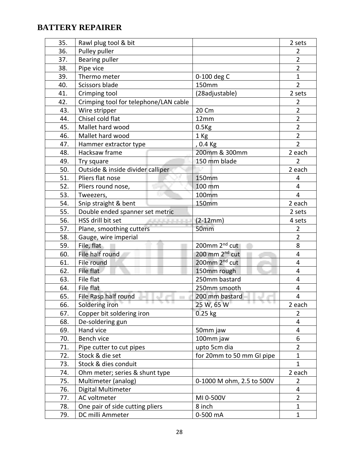| 35. | Rawl plug tool & bit                  |                            | 2 sets                  |
|-----|---------------------------------------|----------------------------|-------------------------|
| 36. | Pulley puller                         |                            | $\overline{2}$          |
| 37. | <b>Bearing puller</b>                 |                            | $\overline{2}$          |
| 38. | Pipe vice                             |                            | $\overline{2}$          |
| 39. | Thermo meter                          | 0-100 deg C                | $\mathbf{1}$            |
| 40. | Scissors blade                        | 150mm                      | $\overline{2}$          |
| 41. | Crimping tool                         | (28adjustable)             | 2 sets                  |
| 42. | Crimping tool for telephone/LAN cable |                            | $\overline{2}$          |
| 43. | Wire stripper                         | 20 Cm                      | $\overline{2}$          |
| 44. | Chisel cold flat                      | 12mm                       | $\overline{2}$          |
| 45. | Mallet hard wood                      | $0.5$ Kg                   | $\overline{2}$          |
| 46. | Mallet hard wood                      | 1 Kg                       | $\overline{2}$          |
| 47. | Hammer extractor type                 | , 0.4 Kg                   | $\overline{2}$          |
| 48. | Hacksaw frame                         | 200mm & 300mm              | 2 each                  |
| 49. | Try square                            | 150 mm blade               | $\overline{2}$          |
| 50. | Outside & inside divider calliper     |                            | 2 each                  |
| 51. | Pliers flat nose                      | 150mm                      | 4                       |
| 52. | Pliers round nose,<br>See             | 100 mm                     | $\overline{\mathbf{4}}$ |
| 53. | Tweezers,                             | 100mm                      | $\overline{4}$          |
| 54. | Snip straight & bent                  | 150mm                      | 2 each                  |
| 55. | Double ended spanner set metric       |                            | 2 sets                  |
| 56. | HSS drill bit set<br>420 000 000 000  | $(2-12mm)$                 | 4 sets                  |
| 57. | Plane, smoothing cutters              | 50mm                       | 2                       |
| 58. | Gauge, wire imperial                  |                            | $\overline{2}$          |
| 59. | File, flat                            | 200mm 2 <sup>nd</sup> cut  | 8                       |
| 60. | File half round                       | 200 mm 2 <sup>nd</sup> cut | 4                       |
| 61. | File round                            | 200mm 2 <sup>nd</sup> cut  | 4                       |
| 62. | File flat                             | 150mm rough                | 4                       |
| 63. | File flat                             | 250mm bastard              | 4                       |
| 64. | File flat                             | 250mm smooth               | $\overline{4}$          |
| 65. | File Rasp half round<br>e.            | 200 mm bastard             | 4                       |
| 66. | Soldering iron                        | 25 W, 65 W                 | 2 each                  |
| 67. | Copper bit soldering iron             | $0.25$ kg                  | 2                       |
| 68. | De-soldering gun                      |                            | 4                       |
| 69. | Hand vice                             | 50mm jaw                   | 4                       |
| 70. | Bench vice                            | 100mm jaw                  | 6                       |
| 71. | Pipe cutter to cut pipes              | upto 5cm dia               | $\overline{2}$          |
| 72. | Stock & die set                       | for 20mm to 50 mm GI pipe  | $\mathbf 1$             |
| 73. | Stock & dies conduit                  |                            | $\mathbf{1}$            |
| 74. | Ohm meter; series & shunt type        |                            | 2 each                  |
| 75. | Multimeter (analog)                   | 0-1000 M ohm, 2.5 to 500V  | $\overline{2}$          |
| 76. | Digital Multimeter                    |                            | 4                       |
| 77. | AC voltmeter                          | MI 0-500V                  | $\overline{2}$          |
| 78. | One pair of side cutting pliers       | 8 inch                     | $\mathbf{1}$            |
| 79. | DC milli Ammeter                      | 0-500 mA                   | $\mathbf{1}$            |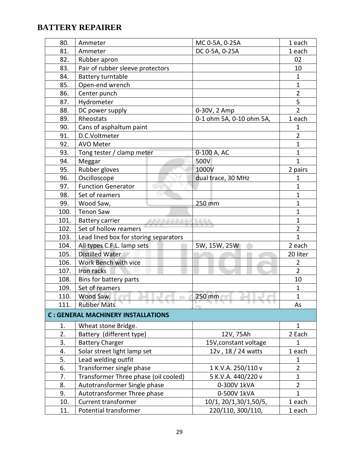| 80.  | Ammeter                                         | MC 0-5A, 0-25A           | 1 each         |
|------|-------------------------------------------------|--------------------------|----------------|
| 81.  | Ammeter                                         | DC 0-5A, 0-25A           | 1 each         |
| 82.  | Rubber apron                                    |                          | 02             |
| 83.  | Pair of rubber sleeve protectors                |                          | 10             |
| 84.  | Battery turntable                               |                          | $\mathbf 1$    |
| 85.  | Open-end wrench                                 |                          | $\mathbf{1}$   |
| 86.  | Center punch                                    |                          | $\overline{2}$ |
| 87.  | Hydrometer                                      |                          | 5              |
| 88.  | DC power supply                                 | 0-30V, 2 Amp             | $\overline{2}$ |
| 89.  | Rheostats                                       | 0-1 ohm 5A, 0-10 ohm 5A, | 1 each         |
| 90.  | Cans of asphaltum paint                         |                          | 1              |
| 91.  | D.C.Voltmeter                                   |                          | $\overline{2}$ |
| 92.  | <b>AVO Meter</b>                                |                          | $\mathbf{1}$   |
| 93.  | Tong tester / clamp meter                       | 0-100 A, AC              | $\mathbf{1}$   |
| 94.  | Meggar                                          | 500V                     | $\mathbf{1}$   |
| 95.  | Rubber gloves                                   | 1000V                    | 2 pairs        |
| 96.  | Oscilloscope                                    | dual trace, 30 MHz       | 1              |
| 97.  | <b>Function Generator</b>                       |                          | $\mathbf{1}$   |
| 98.  | Set of reamers                                  |                          | $\mathbf{1}$   |
| 99.  | Wood Saw,                                       | 250 mm                   | $\mathbf 1$    |
| 100. | <b>Tenon Saw</b>                                |                          | $\mathbf{1}$   |
| 101. | <b>Battery carrier</b><br>المرتب والرابع والرام | <b>TELEVISION</b>        | $\mathbf{1}$   |
| 102. | Set of hollow reamers                           |                          | $\overline{2}$ |
| 103. | Lead lined box for storing separators           |                          | $\mathbf{1}$   |
| 104. | All types C.F.L. lamp sets                      | 5W, 15W, 25W             | 2 each         |
| 105. | Distilled Water                                 |                          | 20 liter       |
| 106. | Work Bench with vice                            |                          | $\overline{2}$ |
| 107. | Iron racks                                      |                          | $\overline{2}$ |
| 108. | Bins for battery parts                          |                          | 10             |
| 109. | Set of reamers                                  |                          | 1              |
| 110. | Wood Saw,                                       | 250 mm                   | $\mathbf{1}$   |
| 111. | <b>Rubber Mats</b><br><b>The Sheets</b>         |                          | As             |
|      | <b>C: GENERAL MACHINERY INSTALLATIONS</b>       |                          |                |
| 1.   | Wheat stone Bridge.                             |                          | $\mathbf{1}$   |
| 2.   | Battery (different type)                        | 12V, 75Ah                | 2 Each         |
| 3.   | <b>Battery Charger</b>                          | 15V, constant voltage    | 1              |
| 4.   | Solar street light lamp set                     | 12v, 18 / 24 watts       | 1 each         |
| 5.   | Lead welding outfit                             |                          | 1              |
| 6.   | Transformer single phase                        | 1 K.V.A. 250/110 v       | $\overline{2}$ |
| 7.   | Transformer Three phase (oil cooled)            | 5 K.V.A. 440/220 v       | $\mathbf{1}$   |
| 8.   | Autotransformer Single phase                    | 0-300V 1kVA              | $\overline{2}$ |
| 9.   | Autotransformer Three phase                     | 0-500V 1kVA              | $\mathbf{1}$   |
| 10.  | <b>Current transformer</b>                      | 10/1, 20/1,30/1,50/5,    | 1 each         |
| 11.  | Potential transformer                           | 220/110, 300/110,        | 1 each         |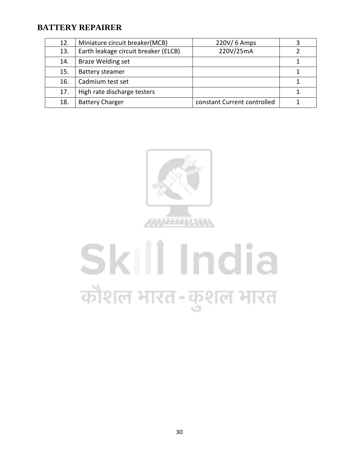| 12. | Miniature circuit breaker(MCB)       | 220V/ 6 Amps                |  |
|-----|--------------------------------------|-----------------------------|--|
| 13. | Earth leakage circuit breaker (ELCB) | 220V/25mA                   |  |
|     |                                      |                             |  |
| 14. | <b>Braze Welding set</b>             |                             |  |
| 15. | <b>Battery steamer</b>               |                             |  |
| 16. | Cadmium test set                     |                             |  |
| 17. | High rate discharge testers          |                             |  |
| 18. | <b>Battery Charger</b>               | constant Current controlled |  |



# Skill India कौशल भारत-कुशल भारत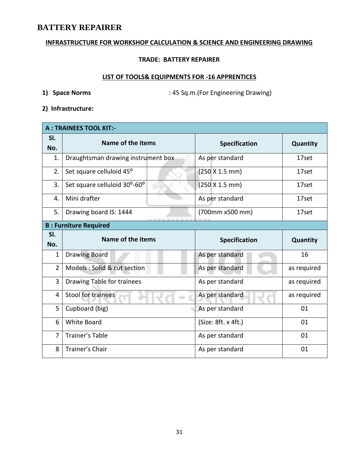#### **INFRASTRUCTURE FOR WORKSHOP CALCULATION & SCIENCE AND ENGINEERING DRAWING**

#### **TRADE: BATTERY REPAIRER**

#### **LIST OF TOOLS& EQUIPMENTS FOR -16 APPRENTICES**

**1) Space Norms** : 45 Sq.m.(For Engineering Drawing)

**2) Infrastructure:** 

| <b>A: TRAINEES TOOL KIT:-</b> |                                    |                      |             |  |  |  |  |  |  |  |  |
|-------------------------------|------------------------------------|----------------------|-------------|--|--|--|--|--|--|--|--|
| SI.<br>No.                    | Name of the items                  | <b>Specification</b> | Quantity    |  |  |  |  |  |  |  |  |
| 1.                            | Draughtsman drawing instrument box | As per standard      | 17set       |  |  |  |  |  |  |  |  |
| 2.                            | Set square celluloid 45°           | (250 X 1.5 mm)       | 17set       |  |  |  |  |  |  |  |  |
| 3.                            | Set square celluloid 30°-60°       | (250 X 1.5 mm)       | 17set       |  |  |  |  |  |  |  |  |
| 4.                            | Mini drafter                       | As per standard      | 17set       |  |  |  |  |  |  |  |  |
| 5.                            | Drawing board IS: 1444             | (700mm x500 mm)      | 17set       |  |  |  |  |  |  |  |  |
|                               | <b>B: Furniture Required</b>       |                      |             |  |  |  |  |  |  |  |  |
| SI.<br>No.                    | Name of the items                  | <b>Specification</b> | Quantity    |  |  |  |  |  |  |  |  |
|                               |                                    |                      |             |  |  |  |  |  |  |  |  |
| $\mathbf 1$                   | <b>Drawing Board</b>               | As per standard      | 16          |  |  |  |  |  |  |  |  |
| $\overline{2}$                | Models : Solid & cut section       | As per standard      | as required |  |  |  |  |  |  |  |  |
| 3                             | Drawing Table for trainees         | As per standard      | as required |  |  |  |  |  |  |  |  |
| 4                             | Stool for trainees                 | As per standard      | as required |  |  |  |  |  |  |  |  |
| 5                             | Cupboard (big)                     | As per standard      | 01          |  |  |  |  |  |  |  |  |
| 6                             | White Board                        | (Size: 8ft. x 4ft.)  | 01          |  |  |  |  |  |  |  |  |
| 7                             | <b>Trainer's Table</b>             | As per standard      | 01          |  |  |  |  |  |  |  |  |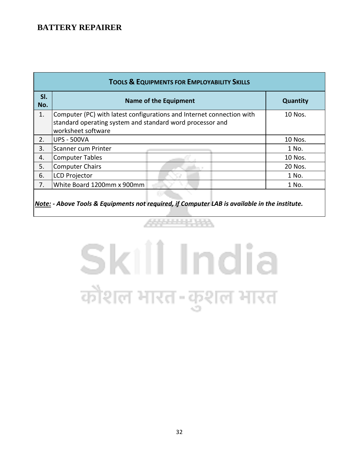| <b>TOOLS &amp; EQUIPMENTS FOR EMPLOYABILITY SKILLS</b> |                                                                                                                                                          |          |  |  |  |  |  |  |
|--------------------------------------------------------|----------------------------------------------------------------------------------------------------------------------------------------------------------|----------|--|--|--|--|--|--|
| SI.<br>No.                                             | <b>Name of the Equipment</b>                                                                                                                             | Quantity |  |  |  |  |  |  |
| 1.                                                     | Computer (PC) with latest configurations and Internet connection with<br>standard operating system and standard word processor and<br>worksheet software | 10 Nos.  |  |  |  |  |  |  |
| 2.                                                     | <b>UPS - 500VA</b>                                                                                                                                       | 10 Nos.  |  |  |  |  |  |  |
| 3.                                                     | lScanner cum Printer                                                                                                                                     | 1 No.    |  |  |  |  |  |  |
| 4.                                                     | Computer Tables                                                                                                                                          | 10 Nos.  |  |  |  |  |  |  |
| 5.                                                     | Computer Chairs                                                                                                                                          | 20 Nos.  |  |  |  |  |  |  |
| 6.                                                     | <b>LCD Projector</b>                                                                                                                                     | 1 No.    |  |  |  |  |  |  |
| 7.                                                     | White Board 1200mm x 900mm                                                                                                                               | 1 No.    |  |  |  |  |  |  |
|                                                        |                                                                                                                                                          |          |  |  |  |  |  |  |

*Note: - Above Tools & Equipments not required, if Computer LAB is available in the institute.*

# Skill India कौशल भारत-कुशल भारत

**ARMANIA**